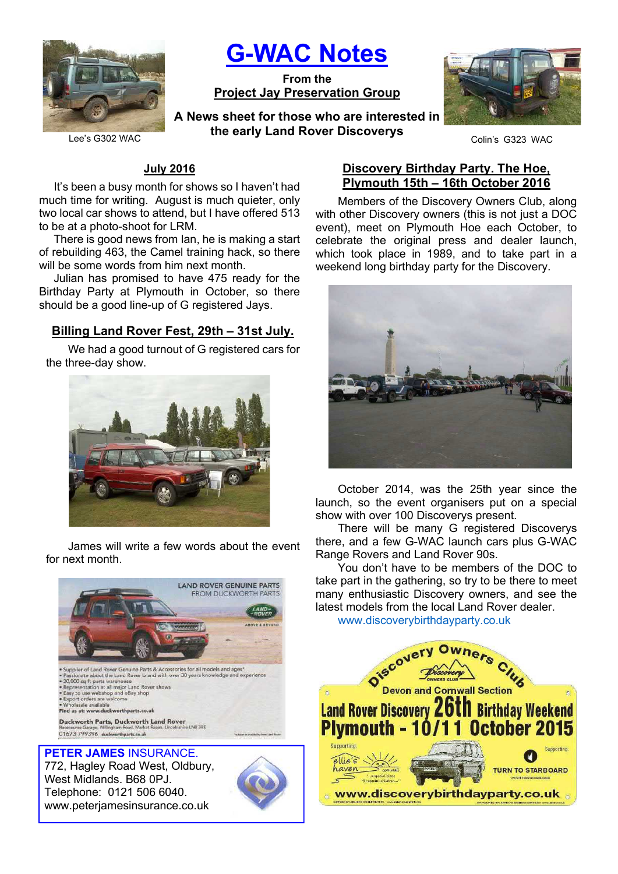

G-WAC Notes

From the Project Jay Preservation Group

Lee's G302 WAC **Coling Carly Land Rover Biboovery Strategy** Colin's G323 WAC A News sheet for those who are interested in the early Land Rover Discoverys



## July 2016

It's been a busy month for shows so I haven't had much time for writing. August is much quieter, only two local car shows to attend, but I have offered 513 to be at a photo-shoot for LRM.

There is good news from Ian, he is making a start of rebuilding 463, the Camel training hack, so there will be some words from him next month.

Julian has promised to have 475 ready for the Birthday Party at Plymouth in October, so there should be a good line-up of G registered Jays.

# Billing Land Rover Fest, 29th – 31st July.

We had a good turnout of G registered cars for the three-day show.



James will write a few words about the event for next month.



772, Hagley Road West, Oldbury, West Midlands. B68 0PJ. Telephone: 0121 506 6040. www.peterjamesinsurance.co.uk



# Discovery Birthday Party. The Hoe, Plymouth 15th – 16th October 2016

Members of the Discovery Owners Club, along with other Discovery owners (this is not just a DOC event), meet on Plymouth Hoe each October, to celebrate the original press and dealer launch, which took place in 1989, and to take part in a weekend long birthday party for the Discovery.



October 2014, was the 25th year since the launch, so the event organisers put on a special show with over 100 Discoverys present.

There will be many G registered Discoverys there, and a few G-WAC launch cars plus G-WAC Range Rovers and Land Rover 90s.

You don't have to be members of the DOC to take part in the gathering, so try to be there to meet many enthusiastic Discovery owners, and see the latest models from the local Land Rover dealer.

www.discoverybirthdayparty.co.uk

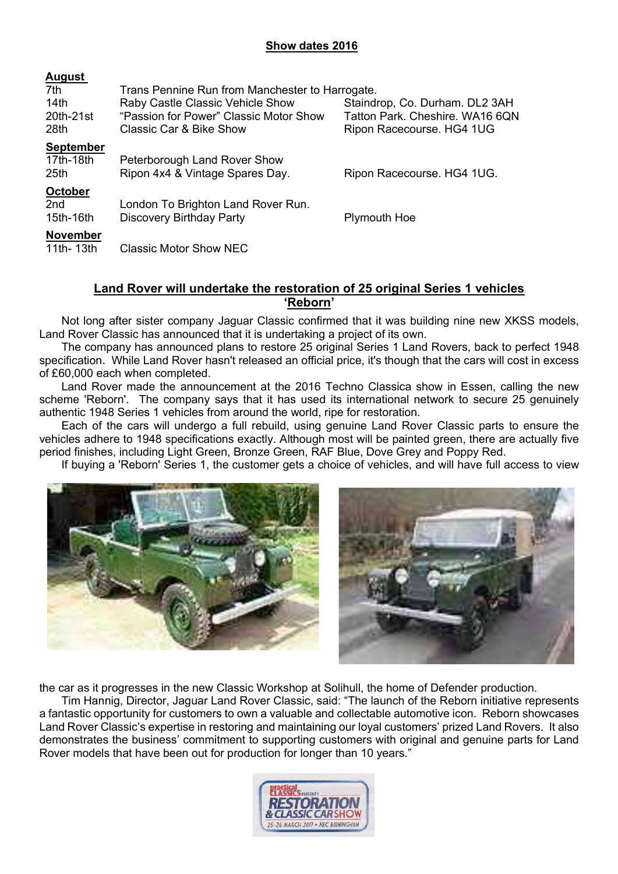## Show dates 2016

| <b>August</b>    |                                                 |                                 |  |
|------------------|-------------------------------------------------|---------------------------------|--|
| 7th              | Trans Pennine Run from Manchester to Harrogate. |                                 |  |
| 14 <sub>th</sub> | Raby Castle Classic Vehicle Show                | Staindrop, Co. Durham. DL2 3AH  |  |
| 20th-21st        | "Passion for Power" Classic Motor Show          | Tatton Park. Cheshire. WA16 6QN |  |
| 28th             | Classic Car & Bike Show                         | Ripon Racecourse. HG4 1UG       |  |
| <b>September</b> |                                                 |                                 |  |
| 17th-18th        | Peterborough Land Rover Show                    |                                 |  |
| 25th             | Ripon 4x4 & Vintage Spares Day.                 | Ripon Racecourse. HG4 1UG.      |  |
| <b>October</b>   |                                                 |                                 |  |
| 2 <sub>nd</sub>  | London To Brighton Land Rover Run.              |                                 |  |
| 15th-16th        | <b>Discovery Birthday Party</b>                 | <b>Plymouth Hoe</b>             |  |
| <b>November</b>  |                                                 |                                 |  |
| 11th- 13th       | Classic Motor Show NEC                          |                                 |  |

## Land Rover will undertake the restoration of 25 original Series 1 vehicles 'Reborn'

Not long after sister company Jaguar Classic confirmed that it was building nine new XKSS models, Land Rover Classic has announced that it is undertaking a project of its own.

The company has announced plans to restore 25 original Series 1 Land Rovers, back to perfect 1948 specification. While Land Rover hasn't released an official price, it's though that the cars will cost in excess of £60,000 each when completed.

Land Rover made the announcement at the 2016 Techno Classica show in Essen, calling the new scheme 'Reborn'. The company says that it has used its international network to secure 25 genuinely authentic 1948 Series 1 vehicles from around the world, ripe for restoration.

Each of the cars will undergo a full rebuild, using genuine Land Rover Classic parts to ensure the vehicles adhere to 1948 specifications exactly. Although most will be painted green, there are actually five period finishes, including Light Green, Bronze Green, RAF Blue, Dove Grey and Poppy Red.

If buying a 'Reborn' Series 1, the customer gets a choice of vehicles, and will have full access to view



the car as it progresses in the new Classic Workshop at Solihull, the home of Defender production.

Tim Hannig, Director, Jaguar Land Rover Classic, said: "The launch of the Reborn initiative represents a fantastic opportunity for customers to own a valuable and collectable automotive icon. Reborn showcases Land Rover Classic's expertise in restoring and maintaining our loyal customers' prized Land Rovers. It also demonstrates the business' commitment to supporting customers with original and genuine parts for Land Rover models that have been out for production for longer than 10 years."